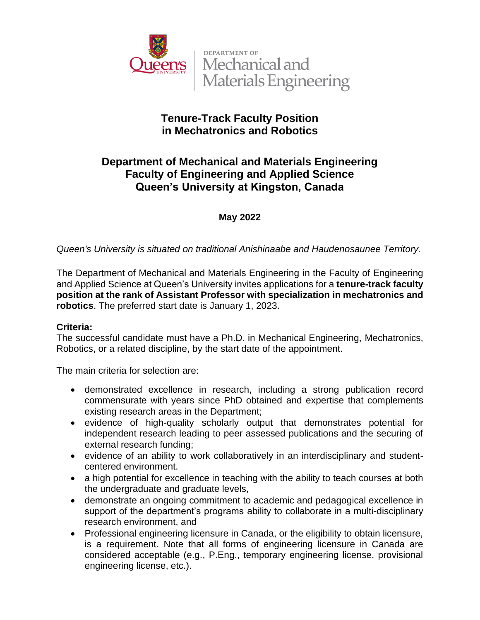

**DEPARTMENT OF** Mechanical and Materials Engineering

# **Tenure-Track Faculty Position in Mechatronics and Robotics**

# **Department of Mechanical and Materials Engineering Faculty of Engineering and Applied Science Queen's University at Kingston, Canada**

### **May 2022**

*Queen's University is situated on traditional Anishinaabe and Haudenosaunee Territory.*

The Department of Mechanical and Materials Engineering in the Faculty of Engineering and Applied Science at Queen's University invites applications for a **tenure-track faculty position at the rank of Assistant Professor with specialization in mechatronics and robotics**. The preferred start date is January 1, 2023.

### **Criteria:**

The successful candidate must have a Ph.D. in Mechanical Engineering, Mechatronics, Robotics, or a related discipline, by the start date of the appointment.

The main criteria for selection are:

- demonstrated excellence in research, including a strong publication record commensurate with years since PhD obtained and expertise that complements existing research areas in the Department;
- evidence of high-quality scholarly output that demonstrates potential for independent research leading to peer assessed publications and the securing of external research funding;
- evidence of an ability to work collaboratively in an interdisciplinary and studentcentered environment.
- a high potential for excellence in teaching with the ability to teach courses at both the undergraduate and graduate levels,
- demonstrate an ongoing commitment to academic and pedagogical excellence in support of the department's programs ability to collaborate in a multi-disciplinary research environment, and
- Professional engineering licensure in Canada, or the eligibility to obtain licensure, is a requirement. Note that all forms of engineering licensure in Canada are considered acceptable (e.g., P.Eng., temporary engineering license, provisional engineering license, etc.).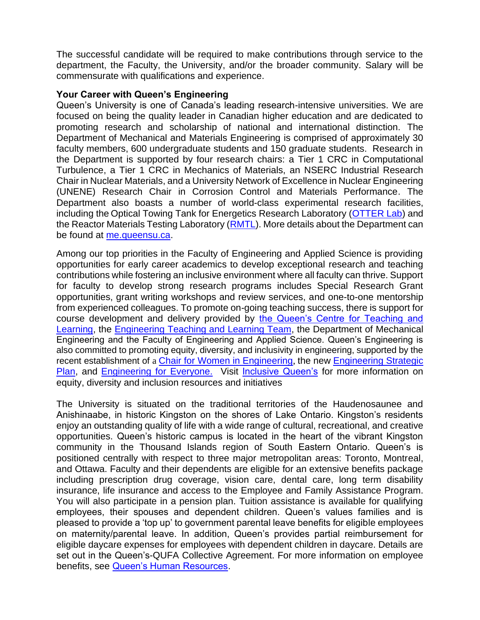The successful candidate will be required to make contributions through service to the department, the Faculty, the University, and/or the broader community. Salary will be commensurate with qualifications and experience.

#### **Your Career with Queen's Engineering**

Queen's University is one of Canada's leading research-intensive universities. We are focused on being the quality leader in Canadian higher education and are dedicated to promoting research and scholarship of national and international distinction. The Department of Mechanical and Materials Engineering is comprised of approximately 30 faculty members, 600 undergraduate students and 150 graduate students. Research in the Department is supported by four research chairs: a Tier 1 CRC in Computational Turbulence, a Tier 1 CRC in Mechanics of Materials, an NSERC Industrial Research Chair in Nuclear Materials, and a University Network of Excellence in Nuclear Engineering (UNENE) Research Chair in Corrosion Control and Materials Performance. The Department also boasts a number of world-class experimental research facilities, including the Optical Towing Tank for Energetics Research Laboratory [\(OTTER Lab\)](https://rivallab.com/facilities/) and the Reactor Materials Testing Laboratory [\(RMTL\)](https://rmtl.engineering.queensu.ca/). More details about the Department can be found at [me.queensu.ca.](https://me.queensu.ca/)

Among our top priorities in the Faculty of Engineering and Applied Science is providing opportunities for early career academics to develop exceptional research and teaching contributions while fostering an inclusive environment where all faculty can thrive. Support for faculty to develop strong research programs includes Special Research Grant opportunities, grant writing workshops and review services, and one-to-one mentorship from experienced colleagues. To promote on-going teaching success, there is support for course development and delivery provided by [the Queen's Centre for Teaching and](https://www.queensu.ca/ctl/home)  [Learning,](https://www.queensu.ca/ctl/home) the [Engineering Teaching and Learning Team,](https://engineering.queensu.ca/About/teaching-and-learning/team.html) the Department of Mechanical Engineering and the Faculty of Engineering and Applied Science. Queen's Engineering is also committed to promoting equity, diversity, and inclusivity in engineering, supported by the recent establishment of a [Chair for Women in Engineering](https://engineering.queensu.ca/women-in-engineering/), the new Engineering Strategic [Plan,](https://engineering.queensu.ca/About/strategic-plan/index.html) and [Engineering for Everyone.](https://engineering.queensu.ca/About/engineering-for-everyone/index.html) Visit [Inclusive Queen's](https://www.queensu.ca/inclusive/) for more information on equity, diversity and inclusion resources and initiatives

The University is situated on the traditional territories of the Haudenosaunee and Anishinaabe, in historic Kingston on the shores of Lake Ontario. Kingston's residents enjoy an outstanding quality of life with a wide range of cultural, recreational, and creative opportunities. Queen's historic campus is located in the heart of the vibrant Kingston community in the Thousand Islands region of South Eastern Ontario. Queen's is positioned centrally with respect to three major metropolitan areas: Toronto, Montreal, and Ottawa. Faculty and their dependents are eligible for an extensive benefits package including prescription drug coverage, vision care, dental care, long term disability insurance, life insurance and access to the Employee and Family Assistance Program. You will also participate in a pension plan. Tuition assistance is available for qualifying employees, their spouses and dependent children. Queen's values families and is pleased to provide a 'top up' to government parental leave benefits for eligible employees on maternity/parental leave. In addition, Queen's provides partial reimbursement for eligible daycare expenses for employees with dependent children in daycare. Details are set out in the Queen's-QUFA Collective Agreement. For more information on employee benefits, see [Queen's Human Resources.](http://www.queensu.ca/humanresources/)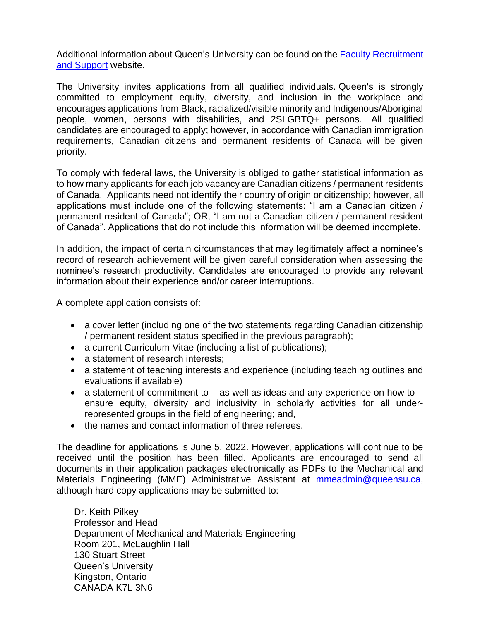Additional information about Queen's University can be found on the [Faculty Recruitment](http://www.queensu.ca/facultyrecruitment)  [and Support](http://www.queensu.ca/facultyrecruitment) website.

The University invites applications from all qualified individuals. Queen's is strongly committed to employment equity, diversity, and inclusion in the workplace and encourages applications from Black, racialized/visible minority and Indigenous/Aboriginal people, women, persons with disabilities, and 2SLGBTQ+ persons. All qualified candidates are encouraged to apply; however, in accordance with Canadian immigration requirements, Canadian citizens and permanent residents of Canada will be given priority.

To comply with federal laws, the University is obliged to gather statistical information as to how many applicants for each job vacancy are Canadian citizens / permanent residents of Canada. Applicants need not identify their country of origin or citizenship; however, all applications must include one of the following statements: "I am a Canadian citizen / permanent resident of Canada"; OR, "I am not a Canadian citizen / permanent resident of Canada". Applications that do not include this information will be deemed incomplete.

In addition, the impact of certain circumstances that may legitimately affect a nominee's record of research achievement will be given careful consideration when assessing the nominee's research productivity. Candidates are encouraged to provide any relevant information about their experience and/or career interruptions.

A complete application consists of:

- a cover letter (including one of the two statements regarding Canadian citizenship / permanent resident status specified in the previous paragraph);
- a current Curriculum Vitae (including a list of publications);
- a statement of research interests;
- a statement of teaching interests and experience (including teaching outlines and evaluations if available)
- a statement of commitment to  $-$  as well as ideas and any experience on how to  $$ ensure equity, diversity and inclusivity in scholarly activities for all underrepresented groups in the field of engineering; and,
- the names and contact information of three referees.

The deadline for applications is June 5, 2022. However, applications will continue to be received until the position has been filled. Applicants are encouraged to send all documents in their application packages electronically as PDFs to the Mechanical and Materials Engineering (MME) Administrative Assistant at [mmeadmin@queensu.ca,](mailto:mmeadmin@queensu.ca) although hard copy applications may be submitted to:

Dr. Keith Pilkey Professor and Head Department of Mechanical and Materials Engineering Room 201, McLaughlin Hall 130 Stuart Street Queen's University Kingston, Ontario CANADA K7L 3N6